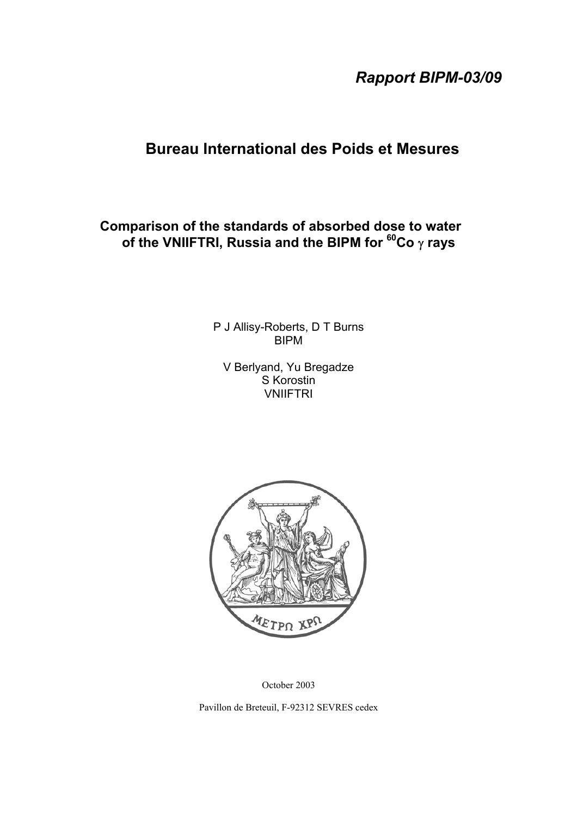*Rapport BIPM-03/09*

# **Bureau International des Poids et Mesures**

## **Comparison of the standards of absorbed dose to water of the VNIIFTRI, Russia and the BIPM for 60Co** γ **rays**

P J Allisy-Roberts, D T Burns BIPM

V Berlyand, Yu Bregadze S Korostin **VNIIFTRI** 



October 2003

Pavillon de Breteuil, F-92312 SEVRES cedex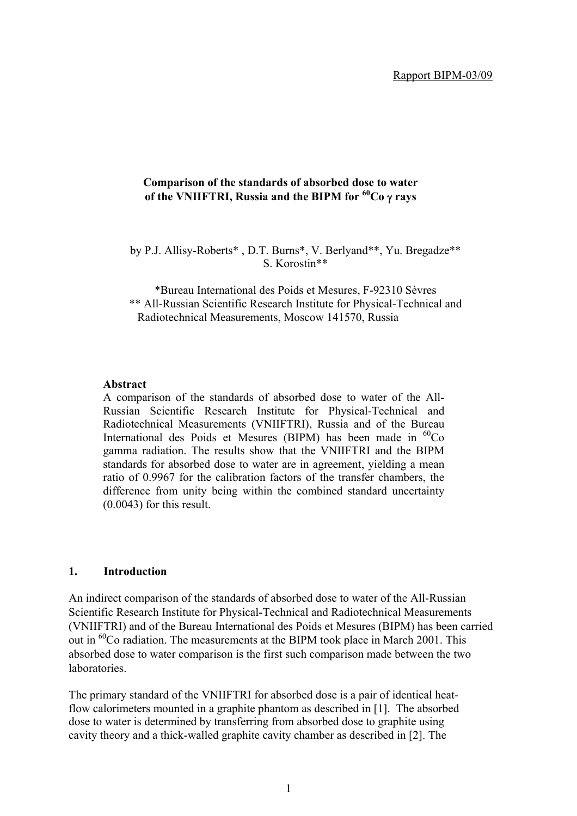## **Comparison of the standards of absorbed dose to water of the VNIIFTRI, Russia and the BIPM for 60Co** γ **rays**

by P.J. Allisy-Roberts\* , D.T. Burns\*, V. Berlyand\*\*, Yu. Bregadze\*\* S. Korostin\*\*

\*Bureau International des Poids et Mesures, F-92310 Sèvres \*\* All-Russian Scientific Research Institute for Physical-Technical and Radiotechnical Measurements, Moscow 141570, Russia

#### **Abstract**

A comparison of the standards of absorbed dose to water of the All-Russian Scientific Research Institute for Physical-Technical and Radiotechnical Measurements (VNIIFTRI), Russia and of the Bureau International des Poids et Mesures (BIPM) has been made in  ${}^{60}Co$ gamma radiation. The results show that the VNIIFTRI and the BIPM standards for absorbed dose to water are in agreement, yielding a mean ratio of 0.9967 for the calibration factors of the transfer chambers, the difference from unity being within the combined standard uncertainty (0.0043) for this result.

## **1. Introduction**

An indirect comparison of the standards of absorbed dose to water of the All-Russian Scientific Research Institute for Physical-Technical and Radiotechnical Measurements (VNIIFTRI) and of the Bureau International des Poids et Mesures (BIPM) has been carried out in <sup>60</sup>Co radiation. The measurements at the BIPM took place in March 2001. This absorbed dose to water comparison is the first such comparison made between the two laboratories.

The primary standard of the VNIIFTRI for absorbed dose is a pair of identical heatflow calorimeters mounted in a graphite phantom as described in [1]. The absorbed dose to water is determined by transferring from absorbed dose to graphite using cavity theory and a thick-walled graphite cavity chamber as described in [2]. The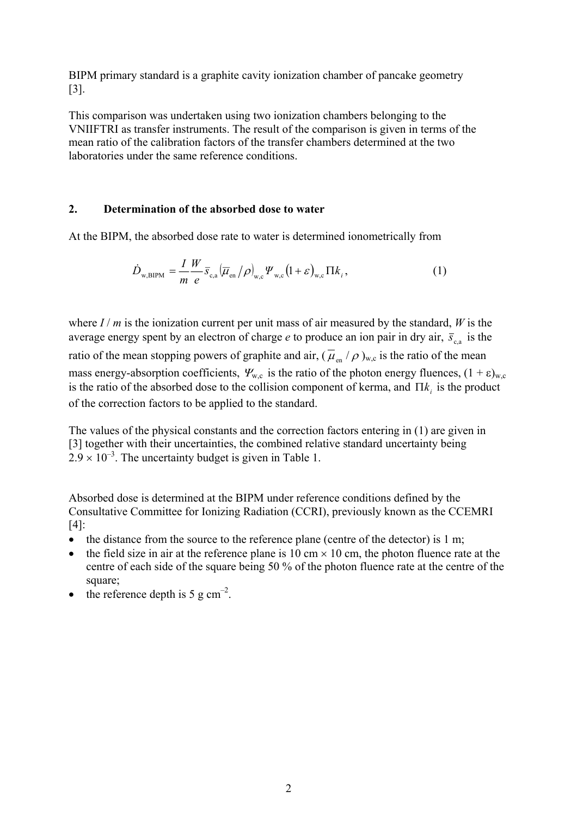BIPM primary standard is a graphite cavity ionization chamber of pancake geometry [3].

This comparison was undertaken using two ionization chambers belonging to the VNIIFTRI as transfer instruments. The result of the comparison is given in terms of the mean ratio of the calibration factors of the transfer chambers determined at the two laboratories under the same reference conditions.

## **2. Determination of the absorbed dose to water**

At the BIPM, the absorbed dose rate to water is determined ionometrically from

$$
\dot{D}_{\text{w,BIPM}} = \frac{I}{m} \frac{W}{e} \overline{s}_{\text{c,a}} (\overline{\mu}_{\text{en}}/\rho)_{\text{w,c}} \Psi_{\text{w,c}} (1+\varepsilon)_{\text{w,c}} \Pi k_i, \qquad (1)
$$

where  $I/m$  is the ionization current per unit mass of air measured by the standard, *W* is the average energy spent by an electron of charge *e* to produce an ion pair in dry air,  $\bar{s}_{c,a}$  is the ratio of the mean stopping powers of graphite and air,  $(\bar{\mu}_{en}/\rho)_{w,c}$  is the ratio of the mean mass energy-absorption coefficients,  $\Psi_{w,c}$  is the ratio of the photon energy fluences,  $(1 + \varepsilon)_{w,c}$ is the ratio of the absorbed dose to the collision component of kerma, and  $\Pi k_i$  is the product of the correction factors to be applied to the standard.

The values of the physical constants and the correction factors entering in (1) are given in [3] together with their uncertainties, the combined relative standard uncertainty being  $2.9 \times 10^{-3}$ . The uncertainty budget is given in Table 1.

Absorbed dose is determined at the BIPM under reference conditions defined by the Consultative Committee for Ionizing Radiation (CCRI), previously known as the CCEMRI [4]:

- the distance from the source to the reference plane (centre of the detector) is 1 m;
- the field size in air at the reference plane is 10 cm  $\times$  10 cm, the photon fluence rate at the centre of each side of the square being 50 % of the photon fluence rate at the centre of the square;
- the reference depth is  $5 \text{ g cm}^{-2}$ .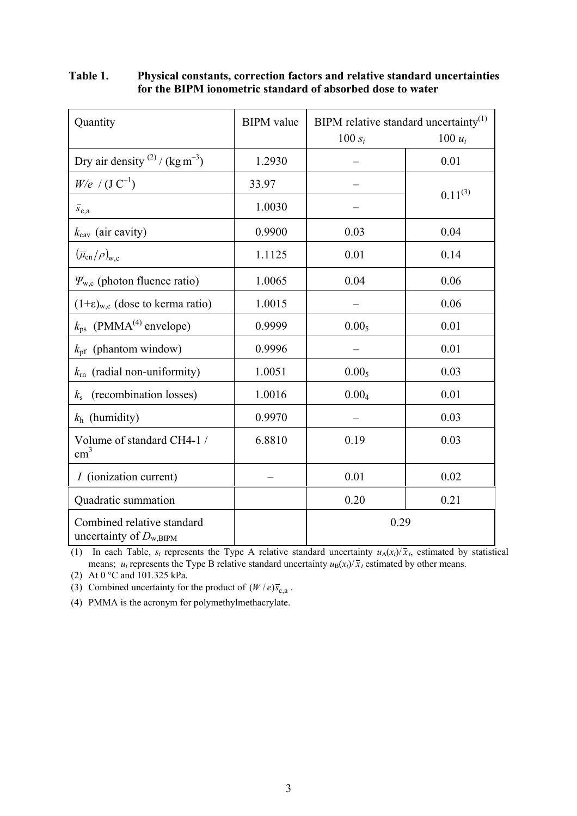| Quantity                                                  | <b>BIPM</b> value | BIPM relative standard uncertainty <sup>(1)</sup> |              |  |
|-----------------------------------------------------------|-------------------|---------------------------------------------------|--------------|--|
|                                                           |                   | $100 s_i$                                         | 100 $u_i$    |  |
| Dry air density $^{(2)}$ / (kg m <sup>-3</sup> )          | 1.2930            |                                                   | 0.01         |  |
| $W/e$ / $(J C^{-1})$                                      | 33.97             |                                                   |              |  |
| $\overline{s}_{c,a}$                                      | 1.0030            |                                                   | $0.11^{(3)}$ |  |
| $k_{\text{cav}}$ (air cavity)                             | 0.9900            | 0.03                                              | 0.04         |  |
| $(\overline{\mu}_{en}/\rho)_{w,c}$                        | 1.1125            | 0.01                                              | 0.14         |  |
| $\Psi_{w,c}$ (photon fluence ratio)                       | 1.0065            | 0.04                                              | 0.06         |  |
| $(1+\epsilon)_{w,c}$ (dose to kerma ratio)                | 1.0015            |                                                   | 0.06         |  |
| $k_{\text{ps}}$ (PMMA <sup>(4)</sup> envelope)            | 0.9999            | 0.00 <sub>5</sub>                                 | 0.01         |  |
| $k_{\text{pf}}$ (phantom window)                          | 0.9996            |                                                   | 0.01         |  |
| (radial non-uniformity)<br>$k_{\rm rn}$                   | 1.0051            | 0.00 <sub>5</sub>                                 | 0.03         |  |
| (recombination losses)<br>$k_{\rm s}$                     | 1.0016            | 0.004                                             | 0.01         |  |
| $k_h$ (humidity)                                          | 0.9970            |                                                   | 0.03         |  |
| Volume of standard CH4-1 /<br>$\text{cm}^3$               | 6.8810            | 0.19                                              | 0.03         |  |
| <i>I</i> (ionization current)                             |                   | 0.01                                              | 0.02         |  |
| Quadratic summation                                       |                   | 0.20                                              | 0.21         |  |
| Combined relative standard<br>uncertainty of $D_{w,BIPM}$ |                   | 0.29                                              |              |  |

## **Table 1. Physical constants, correction factors and relative standard uncertainties for the BIPM ionometric standard of absorbed dose to water**

(1) In each Table,  $s_i$  represents the Type A relative standard uncertainty  $u_A(x_i)/\bar{x}_i$ , estimated by statistical means;  $u_i$  represents the Type B relative standard uncertainty  $u_B(x_i)/\bar{x}_i$  estimated by other means.

(2) At 0 °C and 101.325 kPa.

(3) Combined uncertainty for the product of  $(W / e)\overline{s}_{c,a}$ .

(4) PMMA is the acronym for polymethylmethacrylate.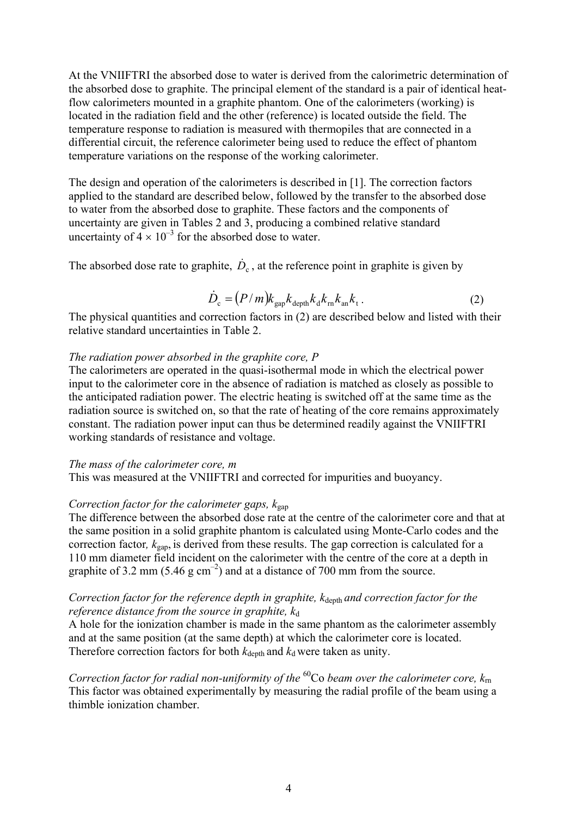At the VNIIFTRI the absorbed dose to water is derived from the calorimetric determination of the absorbed dose to graphite. The principal element of the standard is a pair of identical heatflow calorimeters mounted in a graphite phantom. One of the calorimeters (working) is located in the radiation field and the other (reference) is located outside the field. The temperature response to radiation is measured with thermopiles that are connected in a differential circuit, the reference calorimeter being used to reduce the effect of phantom temperature variations on the response of the working calorimeter.

The design and operation of the calorimeters is described in [1]. The correction factors applied to the standard are described below, followed by the transfer to the absorbed dose to water from the absorbed dose to graphite. These factors and the components of uncertainty are given in Tables 2 and 3, producing a combined relative standard uncertainty of  $4 \times 10^{-3}$  for the absorbed dose to water.

The absorbed dose rate to graphite,  $\dot{D}_c$ , at the reference point in graphite is given by

$$
\dot{D}_{\rm c} = (P/m)k_{\rm gap}k_{\rm depth}k_{\rm d}k_{\rm m}k_{\rm an}k_{\rm t} \,. \tag{2}
$$

The physical quantities and correction factors in (2) are described below and listed with their relative standard uncertainties in Table 2.

## *The radiation power absorbed in the graphite core, P*

The calorimeters are operated in the quasi-isothermal mode in which the electrical power input to the calorimeter core in the absence of radiation is matched as closely as possible to the anticipated radiation power. The electric heating is switched off at the same time as the radiation source is switched on, so that the rate of heating of the core remains approximately constant. The radiation power input can thus be determined readily against the VNIIFTRI working standards of resistance and voltage.

#### *The mass of the calorimeter core, m*

This was measured at the VNIIFTRI and corrected for impurities and buoyancy.

### *Correction factor for the calorimeter gaps,*  $k_{\text{gap}}$

The difference between the absorbed dose rate at the centre of the calorimeter core and that at the same position in a solid graphite phantom is calculated using Monte-Carlo codes and the correction factor*, k*gap, is derived from these results. The gap correction is calculated for a 110 mm diameter field incident on the calorimeter with the centre of the core at a depth in graphite of 3.2 mm (5.46 g  $cm^{-2}$ ) and at a distance of 700 mm from the source.

## *Correction factor for the reference depth in graphite, k*<sub>depth</sub> and correction factor for the *reference distance from the source in graphite,*  $k_d$

A hole for the ionization chamber is made in the same phantom as the calorimeter assembly and at the same position (at the same depth) at which the calorimeter core is located. Therefore correction factors for both  $k_{\text{deoth}}$  and  $k_{\text{d}}$  were taken as unity.

*Correction factor for radial non-uniformity of the* 60Co *beam over the calorimeter core, k*rn This factor was obtained experimentally by measuring the radial profile of the beam using a thimble ionization chamber.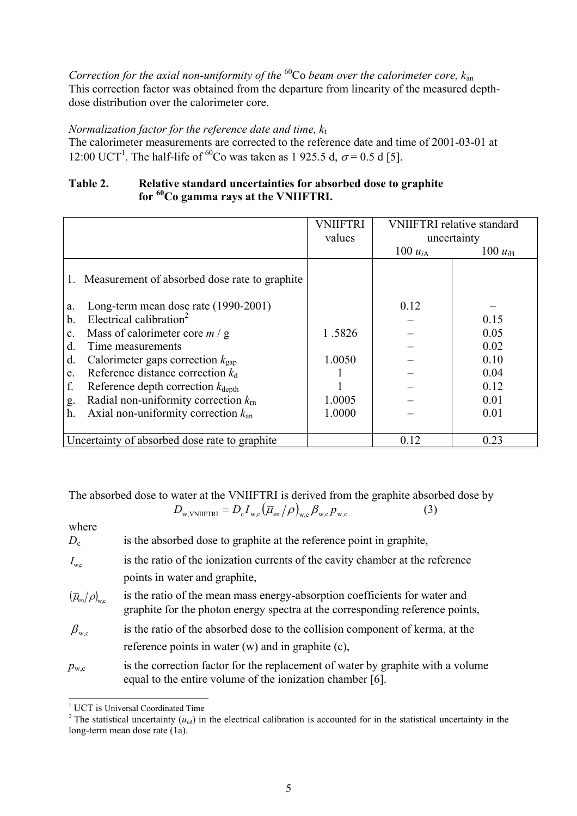*Correction for the axial non-uniformity of the* 60Co *beam over the calorimeter core, k*an This correction factor was obtained from the departure from linearity of the measured depthdose distribution over the calorimeter core.

## *Normalization factor for the reference date and time,*  $k_t$

The calorimeter measurements are corrected to the reference date and time of 2001-03-01 at 12:00 UCT<sup>1</sup>. The half-life of <sup>60</sup>Co was taken as 1 925.5 d,  $\sigma$  = 0.5 d [5].

## **Table 2. Relative standard uncertainties for absorbed dose to graphite for 60Co gamma rays at the VNIIFTRI.**

|                |                                                  | <b>VNIIFTRI</b><br>values | <b>VNIIFTRI</b> relative standard<br>uncertainty |              |
|----------------|--------------------------------------------------|---------------------------|--------------------------------------------------|--------------|
|                |                                                  |                           | 100 $u_{iA}$                                     | 100 $u_{iB}$ |
|                | 1. Measurement of absorbed dose rate to graphite |                           |                                                  |              |
| a.             | Long-term mean dose rate (1990-2001)             |                           | 0.12                                             |              |
| $\mathbf b$ .  | Electrical calibration <sup>2</sup>              |                           |                                                  | 0.15         |
| $\mathbf{c}$ . | Mass of calorimeter core $m / g$                 | 1.5826                    |                                                  | 0.05         |
| d.             | Time measurements                                |                           |                                                  | 0.02         |
| d.             | Calorimeter gaps correction $k_{\text{gap}}$     | 1.0050                    |                                                  | 0.10         |
| e.             | Reference distance correction $k_d$              |                           |                                                  | 0.04         |
| f.             | Reference depth correction $k_{\text{depth}}$    |                           |                                                  | 0.12         |
| g.             | Radial non-uniformity correction $k_{\rm rn}$    | 1.0005                    |                                                  | 0.01         |
| h.             | Axial non-uniformity correction $k_{an}$         | 1.0000                    |                                                  | 0.01         |
|                |                                                  |                           |                                                  |              |
|                | Uncertainty of absorbed dose rate to graphite    |                           | 0.12                                             | 0.23         |

The absorbed dose to water at the VNIIFTRI is derived from the graphite absorbed dose by  $D_{\text{w.VNIFFRI}} = D_{\text{c}} I_{\text{w.c}} (\overline{\mu}_{\text{en}}/\rho)_{\text{w.c}} \beta_{\text{w.c}} p_{\text{w.c}}$  (3)

where

| $D_{\rm c}$ | is the absorbed dose to graphite at the reference point in graphite, |
|-------------|----------------------------------------------------------------------|
|-------------|----------------------------------------------------------------------|

- $I_{\text{wc}}$  is the ratio of the ionization currents of the cavity chamber at the reference points in water and graphite,
- $(\overline{\mu}_{en}/\rho)_{w_c}$  is the ratio of the mean mass energy-absorption coefficients for water and graphite for the photon energy spectra at the corresponding reference points,
- $\beta_{\text{wc}}$  is the ratio of the absorbed dose to the collision component of kerma, at the reference points in water (w) and in graphite (c),
- $p_{\text{w.c}}$  is the correction factor for the replacement of water by graphite with a volume equal to the entire volume of the ionization chamber [6].

<sup>-</sup>

<sup>&</sup>lt;sup>1</sup> UCT is Universal Coordinated Time<br><sup>2</sup> The statistical uncertainty ( $u_{iA}$ ) in the electrical calibration is accounted for in the statistical uncertainty in the long-term mean dose rate (1a).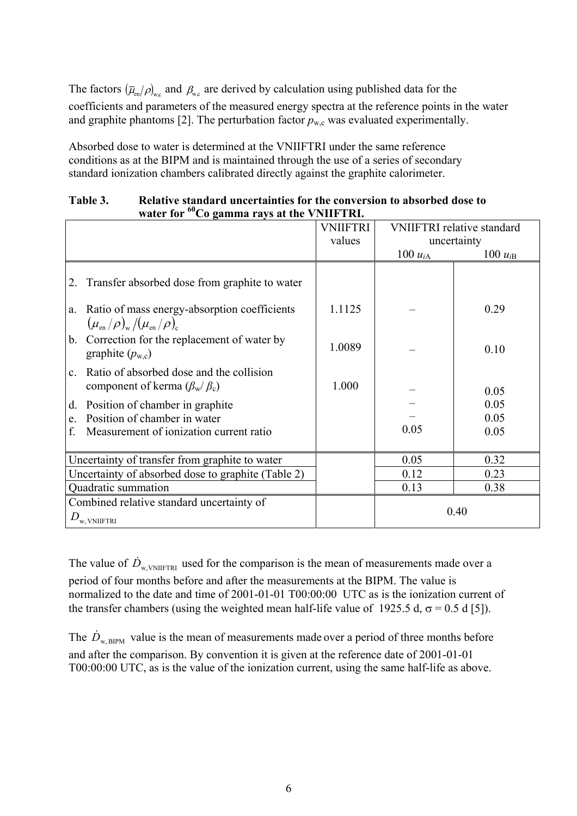The factors  $(\bar{\mu}_{en}/\rho)_{wc}$  and  $\beta_{wc}$  are derived by calculation using published data for the coefficients and parameters of the measured energy spectra at the reference points in the water and graphite phantoms [2]. The perturbation factor  $p_{w,c}$  was evaluated experimentally.

Absorbed dose to water is determined at the VNIIFTRI under the same reference conditions as at the BIPM and is maintained through the use of a series of secondary standard ionization chambers calibrated directly against the graphite calorimeter.

## **Table 3. Relative standard uncertainties for the conversion to absorbed dose to water for 60Co gamma rays at the VNIIFTRI.**

|                                                                                                          | <b>VNIIFTRI</b> | <b>VNIIFTRI</b> relative standard |              |
|----------------------------------------------------------------------------------------------------------|-----------------|-----------------------------------|--------------|
|                                                                                                          | values          | uncertainty                       |              |
|                                                                                                          |                 | $100 u_{iA}$                      | 100 $u_{iB}$ |
| Transfer absorbed dose from graphite to water<br>2.                                                      |                 |                                   |              |
| Ratio of mass energy-absorption coefficients<br>a.                                                       | 1.1125          |                                   | 0.29         |
| $(\mu_{\rm en}/\rho)_{\rm w}/(\mu_{\rm en}/\rho)_{\rm c}$                                                |                 |                                   |              |
| b. Correction for the replacement of water by<br>graphite $(p_{w,c})$                                    | 1.0089          |                                   | 0.10         |
|                                                                                                          |                 |                                   |              |
| Ratio of absorbed dose and the collision<br>$\mathbf{c}$ .<br>component of kerma $(\beta_{w}/\beta_{c})$ | 1.000           |                                   |              |
|                                                                                                          |                 |                                   | 0.05         |
| Position of chamber in graphite<br>d.                                                                    |                 |                                   | 0.05         |
| Position of chamber in water<br>e.                                                                       |                 |                                   | 0.05         |
| Measurement of ionization current ratio<br>f.                                                            |                 | 0.05                              | 0.05         |
|                                                                                                          |                 |                                   |              |
| Uncertainty of transfer from graphite to water                                                           |                 | 0.05                              | 0.32         |
| Uncertainty of absorbed dose to graphite (Table 2)                                                       |                 | 0.12                              | 0.23         |
| Quadratic summation                                                                                      |                 | 0.13                              | 0.38         |
| Combined relative standard uncertainty of                                                                |                 |                                   |              |
| $D_{\rm w,~VNIIFTRI}$                                                                                    | 0.40            |                                   |              |

The value of  $\dot{D}_{w, VNIIFTRI}$  used for the comparison is the mean of measurements made over a period of four months before and after the measurements at the BIPM. The value is normalized to the date and time of 2001-01-01 T00:00:00 UTC as is the ionization current of the transfer chambers (using the weighted mean half-life value of 1925.5 d,  $\sigma$  = 0.5 d [5]).

The  $\dot{D}_{\text{w-BPM}}$  value is the mean of measurements made over a period of three months before and after the comparison. By convention it is given at the reference date of 2001-01-01 T00:00:00 UTC, as is the value of the ionization current, using the same half-life as above.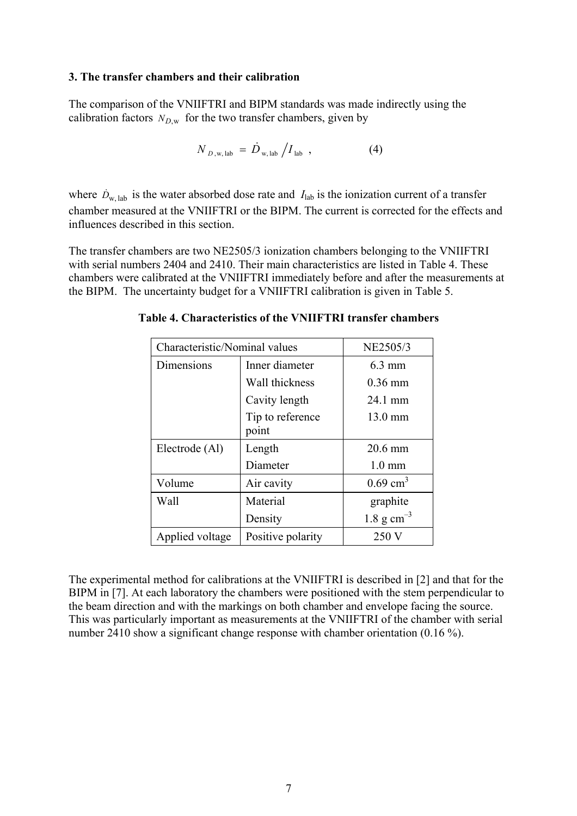#### **3. The transfer chambers and their calibration**

The comparison of the VNIIFTRI and BIPM standards was made indirectly using the calibration factors  $N_{D,w}$  for the two transfer chambers, given by

$$
N_{D,\text{w, lab}} = \dot{D}_{\text{w, lab}} / I_{\text{lab}} \tag{4}
$$

where  $D_{w, lab}$  is the water absorbed dose rate and  $I_{lab}$  is the ionization current of a transfer chamber measured at the VNIIFTRI or the BIPM. The current is corrected for the effects and influences described in this section.

The transfer chambers are two NE2505/3 ionization chambers belonging to the VNIIFTRI with serial numbers 2404 and 2410. Their main characteristics are listed in Table 4. These chambers were calibrated at the VNIIFTRI immediately before and after the measurements at the BIPM. The uncertainty budget for a VNIIFTRI calibration is given in Table 5.

| Characteristic/Nominal values | NE2505/3                  |                        |
|-------------------------------|---------------------------|------------------------|
| Dimensions                    | Inner diameter            | $6.3 \text{ mm}$       |
|                               | Wall thickness            | $0.36$ mm              |
|                               | Cavity length             | 24.1 mm                |
|                               | Tip to reference<br>point | 13.0 mm                |
| Electrode (Al)                | Length                    | 20.6 mm                |
|                               | Diameter                  | $1.0 \text{ mm}$       |
| Volume                        | Air cavity                | $0.69$ cm <sup>3</sup> |
| Wall                          | Material                  | graphite               |
|                               | Density                   | 1.8 g $cm^{-3}$        |
| Applied voltage               | Positive polarity         | 250 V                  |

**Table 4. Characteristics of the VNIIFTRI transfer chambers**

The experimental method for calibrations at the VNIIFTRI is described in [2] and that for the BIPM in [7]. At each laboratory the chambers were positioned with the stem perpendicular to the beam direction and with the markings on both chamber and envelope facing the source. This was particularly important as measurements at the VNIIFTRI of the chamber with serial number 2410 show a significant change response with chamber orientation (0.16 %).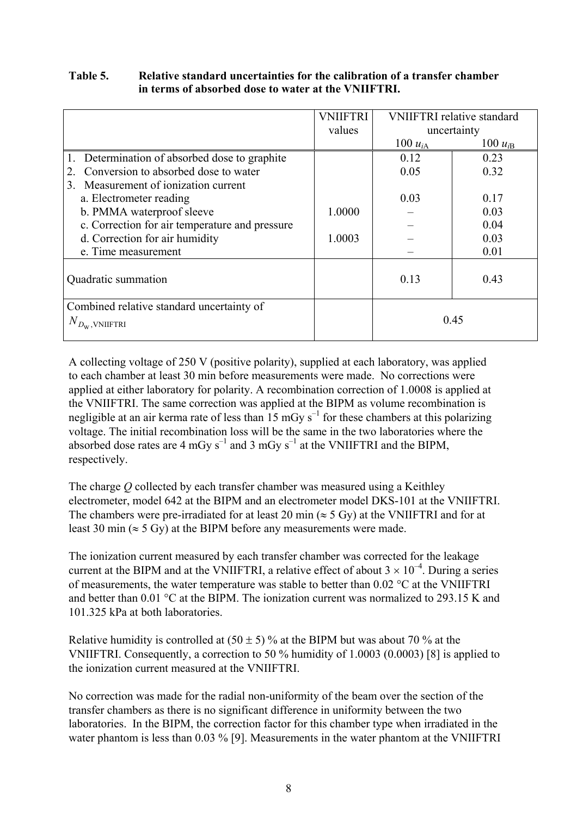## **Table 5. Relative standard uncertainties for the calibration of a transfer chamber in terms of absorbed dose to water at the VNIIFTRI.**

|                                                                       | <b>VNIIFTRI</b> | <b>VNIIFTRI</b> relative standard |              |
|-----------------------------------------------------------------------|-----------------|-----------------------------------|--------------|
|                                                                       | values          | uncertainty                       |              |
|                                                                       |                 | 100 $u_{iA}$                      | 100 $u_{iB}$ |
| 1. Determination of absorbed dose to graphite                         |                 | 0.12                              | 0.23         |
| Conversion to absorbed dose to water<br>$\mathfrak{2}^{\mathfrak{1}}$ |                 | 0.05                              | 0.32         |
| Measurement of ionization current<br>3.                               |                 |                                   |              |
| a. Electrometer reading                                               |                 | 0.03                              | 0.17         |
| b. PMMA waterproof sleeve                                             | 1.0000          |                                   | 0.03         |
| c. Correction for air temperature and pressure                        |                 |                                   | 0.04         |
| d. Correction for air humidity                                        | 1.0003          |                                   | 0.03         |
| e. Time measurement                                                   |                 |                                   | 0.01         |
|                                                                       |                 |                                   |              |
| Quadratic summation                                                   |                 | 0.13                              | 0.43         |
|                                                                       |                 |                                   |              |
| Combined relative standard uncertainty of                             |                 |                                   |              |
| $N_{D_{\mathbf{W}}, \mathbf{V}\mathbf{NIIFTRI}}$                      |                 | 0.45                              |              |
|                                                                       |                 |                                   |              |

A collecting voltage of 250 V (positive polarity), supplied at each laboratory, was applied to each chamber at least 30 min before measurements were made. No corrections were applied at either laboratory for polarity. A recombination correction of 1.0008 is applied at the VNIIFTRI. The same correction was applied at the BIPM as volume recombination is negligible at an air kerma rate of less than 15 mGy  $s^{-1}$  for these chambers at this polarizing voltage. The initial recombination loss will be the same in the two laboratories where the absorbed dose rates are 4 mGy  $s^{-1}$  and 3 mGy  $s^{-1}$  at the VNIIFTRI and the BIPM. respectively.

The charge *Q* collected by each transfer chamber was measured using a Keithley electrometer, model 642 at the BIPM and an electrometer model DKS-101 at the VNIIFTRI. The chambers were pre-irradiated for at least 20 min ( $\approx$  5 Gy) at the VNIIFTRI and for at least 30 min ( $\approx$  5 Gy) at the BIPM before any measurements were made.

The ionization current measured by each transfer chamber was corrected for the leakage current at the BIPM and at the VNIIFTRI, a relative effect of about  $3 \times 10^{-4}$ . During a series of measurements, the water temperature was stable to better than 0.02 °C at the VNIIFTRI and better than 0.01 °C at the BIPM. The ionization current was normalized to 293.15 K and 101.325 kPa at both laboratories.

Relative humidity is controlled at  $(50 \pm 5)$ % at the BIPM but was about 70 % at the VNIIFTRI. Consequently, a correction to 50 % humidity of 1.0003 (0.0003) [8] is applied to the ionization current measured at the VNIIFTRI.

No correction was made for the radial non-uniformity of the beam over the section of the transfer chambers as there is no significant difference in uniformity between the two laboratories. In the BIPM, the correction factor for this chamber type when irradiated in the water phantom is less than 0.03 % [9]. Measurements in the water phantom at the VNIIFTRI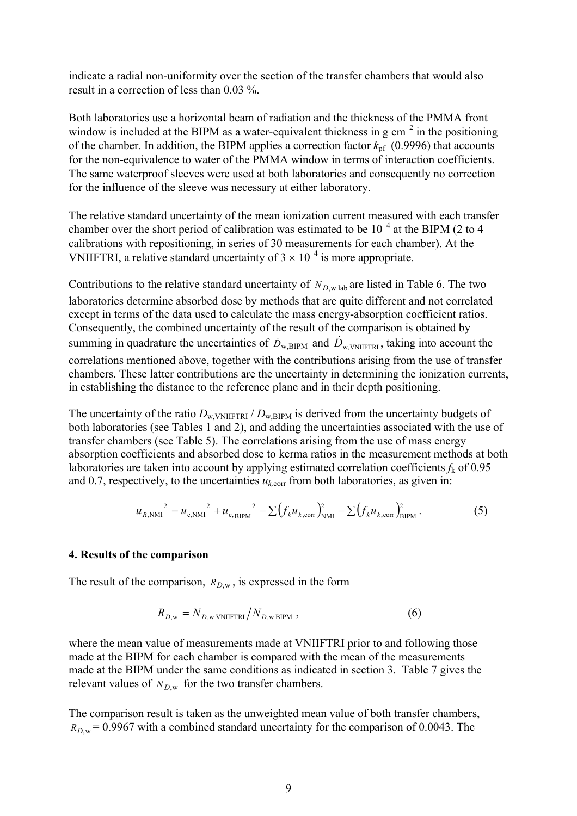indicate a radial non-uniformity over the section of the transfer chambers that would also result in a correction of less than 0.03 %.

Both laboratories use a horizontal beam of radiation and the thickness of the PMMA front window is included at the BIPM as a water-equivalent thickness in  $g \text{ cm}^{-2}$  in the positioning of the chamber. In addition, the BIPM applies a correction factor  $k_{pf}$  (0.9996) that accounts for the non-equivalence to water of the PMMA window in terms of interaction coefficients. The same waterproof sleeves were used at both laboratories and consequently no correction for the influence of the sleeve was necessary at either laboratory.

The relative standard uncertainty of the mean ionization current measured with each transfer chamber over the short period of calibration was estimated to be  $10^{-4}$  at the BIPM (2 to 4 calibrations with repositioning, in series of 30 measurements for each chamber). At the VNIIFTRI, a relative standard uncertainty of  $3 \times 10^{-4}$  is more appropriate.

Contributions to the relative standard uncertainty of  $N_{D,\text{w lab}}$  are listed in Table 6. The two laboratories determine absorbed dose by methods that are quite different and not correlated except in terms of the data used to calculate the mass energy-absorption coefficient ratios. Consequently, the combined uncertainty of the result of the comparison is obtained by summing in quadrature the uncertainties of  $\dot{D}_{w,BIPM}$  and  $\dot{D}_{w,NNIIFTRI}$ , taking into account the correlations mentioned above, together with the contributions arising from the use of transfer chambers. These latter contributions are the uncertainty in determining the ionization currents, in establishing the distance to the reference plane and in their depth positioning.

The uncertainty of the ratio  $D_{w, VNIIFTRI} / D_{w,BIPM}$  is derived from the uncertainty budgets of both laboratories (see Tables 1 and 2), and adding the uncertainties associated with the use of transfer chambers (see Table 5). The correlations arising from the use of mass energy absorption coefficients and absorbed dose to kerma ratios in the measurement methods at both laboratories are taken into account by applying estimated correlation coefficients *f*k of 0.95 and 0.7, respectively, to the uncertainties  $u_{k, \text{corr}}$  from both laboratories, as given in:

$$
u_{R,\text{NMI}}^{2} = u_{c,\text{NMI}}^{2} + u_{c,\text{BIPM}}^{2} - \sum (f_{k} u_{k,\text{corr}})_{\text{NMI}}^{2} - \sum (f_{k} u_{k,\text{corr}})_{\text{BIPM}}^{2}.
$$
 (5)

#### **4. Results of the comparison**

The result of the comparison,  $R_{D,w}$ , is expressed in the form

$$
R_{D,w} = N_{D,w} \sqrt{\text{N}} \sqrt{N_{D,w}} \sqrt{\text{N}} \tag{6}
$$

where the mean value of measurements made at VNIIFTRI prior to and following those made at the BIPM for each chamber is compared with the mean of the measurements made at the BIPM under the same conditions as indicated in section 3. Table 7 gives the relevant values of  $N_{Dw}$  for the two transfer chambers.

The comparison result is taken as the unweighted mean value of both transfer chambers,  $R_{Dw}$  = 0.9967 with a combined standard uncertainty for the comparison of 0.0043. The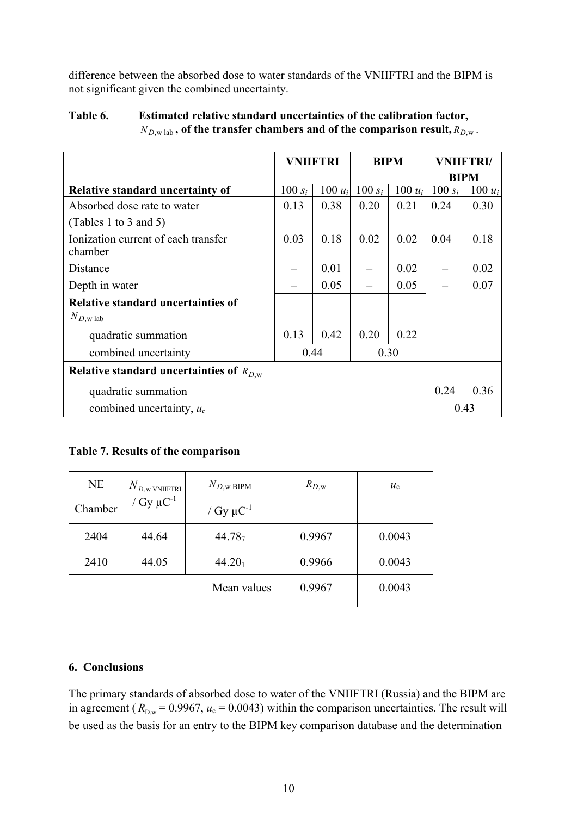difference between the absorbed dose to water standards of the VNIIFTRI and the BIPM is not significant given the combined uncertainty.

|                                                | <b>VNIIFTRI</b> |           | <b>BIPM</b> |           | <b>VNIIFTRI/</b> |           |
|------------------------------------------------|-----------------|-----------|-------------|-----------|------------------|-----------|
|                                                |                 |           |             |           | <b>BIPM</b>      |           |
| <b>Relative standard uncertainty of</b>        | $100 s_i$       | $100 u_i$ | 100 $s_i$   | $100 u_i$ | 100 $s_i$        | $100 u_i$ |
| Absorbed dose rate to water                    | 0.13            | 0.38      | 0.20        | 0.21      | 0.24             | 0.30      |
| (Tables 1 to 3 and 5)                          |                 |           |             |           |                  |           |
| Ionization current of each transfer<br>chamber | 0.03            | 0.18      | 0.02        | 0.02      | 0.04             | 0.18      |
| Distance                                       |                 | 0.01      |             | 0.02      |                  | 0.02      |
| Depth in water                                 |                 | 0.05      |             | 0.05      |                  | 0.07      |
| <b>Relative standard uncertainties of</b>      |                 |           |             |           |                  |           |
| $N_{D,\text{w lab}}$                           |                 |           |             |           |                  |           |
| quadratic summation                            | 0.13            | 0.42      | 0.20        | 0.22      |                  |           |
| combined uncertainty                           | 0.44            |           |             | 0.30      |                  |           |
| Relative standard uncertainties of $R_{D,w}$   |                 |           |             |           |                  |           |
| quadratic summation                            |                 |           |             |           | 0.24             | 0.36      |
| combined uncertainty, $u_c$                    |                 |           |             |           |                  | 0.43      |

## **Table 6. Estimated relative standard uncertainties of the calibration factor,**  $N_{D,\text{w lab}}$ , of the transfer chambers and of the comparison result,  $R_{D,\text{w}}$ .

## **Table 7. Results of the comparison**

| <b>NE</b> | $N_{\overline{D}, \mathrm{w}$ vniiftri | $N_{D,\text{w BIPM}}$      | $R_{D,\mathrm{w}}$ | $u_{\rm c}$ |
|-----------|----------------------------------------|----------------------------|--------------------|-------------|
| Chamber   | / $Gy \mu C^{-1}$                      | / Gy $\mu$ C <sup>-1</sup> |                    |             |
| 2404      | 44.64                                  | 44.78 <sub>7</sub>         | 0.9967             | 0.0043      |
| 2410      | 44.05                                  | $44.20_1$                  | 0.9966             | 0.0043      |
|           |                                        | Mean values                | 0.9967             | 0.0043      |

## **6. Conclusions**

The primary standards of absorbed dose to water of the VNIIFTRI (Russia) and the BIPM are in agreement ( $R_{D,w} = 0.9967$ ,  $u_c = 0.0043$ ) within the comparison uncertainties. The result will be used as the basis for an entry to the BIPM key comparison database and the determination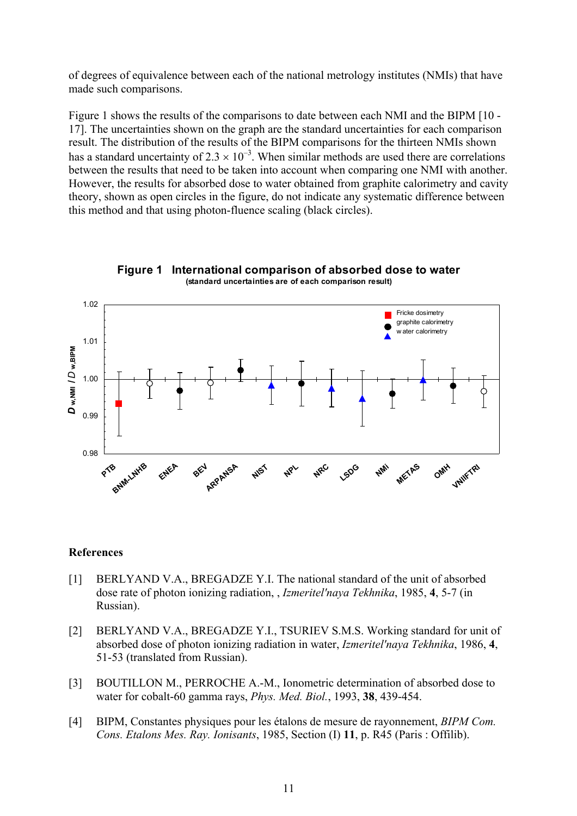of degrees of equivalence between each of the national metrology institutes (NMIs) that have made such comparisons.

Figure 1 shows the results of the comparisons to date between each NMI and the BIPM [10 - 17]. The uncertainties shown on the graph are the standard uncertainties for each comparison result. The distribution of the results of the BIPM comparisons for the thirteen NMIs shown has a standard uncertainty of  $2.3 \times 10^{-3}$ . When similar methods are used there are correlations between the results that need to be taken into account when comparing one NMI with another. However, the results for absorbed dose to water obtained from graphite calorimetry and cavity theory, shown as open circles in the figure, do not indicate any systematic difference between this method and that using photon-fluence scaling (black circles).





## **References**

- [1] BERLYAND V.A., BREGADZE Y.I. The national standard of the unit of absorbed dose rate of photon ionizing radiation, , *Izmeritel'naya Tekhnika*, 1985, **4**, 5-7 (in Russian).
- [2] BERLYAND V.A., BREGADZE Y.I., TSURIEV S.M.S. Working standard for unit of absorbed dose of photon ionizing radiation in water, *Izmeritel'naya Tekhnika*, 1986, **4**, 51-53 (translated from Russian).
- [3] BOUTILLON M., PERROCHE A.-M., Ionometric determination of absorbed dose to water for cobalt-60 gamma rays, *Phys. Med. Biol.*, 1993, **38**, 439-454.
- [4] BIPM, Constantes physiques pour les étalons de mesure de rayonnement, *BIPM Com. Cons. Etalons Mes. Ray. Ionisants*, 1985, Section (I) **11**, p. R45 (Paris : Offilib).